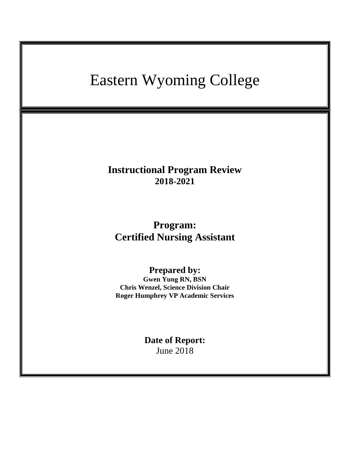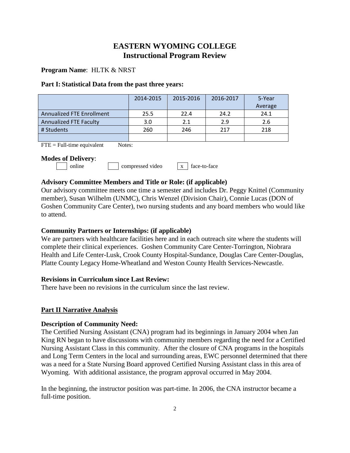# **EASTERN WYOMING COLLEGE Instructional Program Review**

## **Program Name**: HLTK & NRST

### **Part I: Statistical Data from the past three years:**

|                                  | 2014-2015 | 2015-2016 | 2016-2017 | 5-Year<br>Average |
|----------------------------------|-----------|-----------|-----------|-------------------|
| <b>Annualized FTE Enrollment</b> | 25.5      | 22.4      | 24.2      | 24.1              |
| <b>Annualized FTE Faculty</b>    | 3.0       | 2.1       | 2.9       | 2.6               |
| # Students                       | 260       | 246       | 217       | 218               |
|                                  |           |           |           |                   |

 $\text{FTE} = \text{Full-time equivalent}$  Notes:

### **Modes of Delivery**:

| online | compressed video | face-to-face |
|--------|------------------|--------------|
|        |                  |              |

# **Advisory Committee Members and Title or Role: (if applicable)**

Our advisory committee meets one time a semester and includes Dr. Peggy Knittel (Community member), Susan Wilhelm (UNMC), Chris Wenzel (Division Chair), Connie Lucas (DON of Goshen Community Care Center), two nursing students and any board members who would like to attend.

# **Community Partners or Internships: (if applicable)**

We are partners with healthcare facilities here and in each outreach site where the students will complete their clinical experiences. Goshen Community Care Center-Torrington, Niobrara Health and Life Center-Lusk, Crook County Hospital-Sundance, Douglas Care Center-Douglas, Platte County Legacy Home-Wheatland and Weston County Health Services-Newcastle.

### **Revisions in Curriculum since Last Review:**

There have been no revisions in the curriculum since the last review.

# **Part II Narrative Analysis**

# **Description of Community Need:**

The Certified Nursing Assistant (CNA) program had its beginnings in January 2004 when Jan King RN began to have discussions with community members regarding the need for a Certified Nursing Assistant Class in this community. After the closure of CNA programs in the hospitals and Long Term Centers in the local and surrounding areas, EWC personnel determined that there was a need for a State Nursing Board approved Certified Nursing Assistant class in this area of Wyoming. With additional assistance, the program approval occurred in May 2004.

In the beginning, the instructor position was part-time. In 2006, the CNA instructor became a full-time position.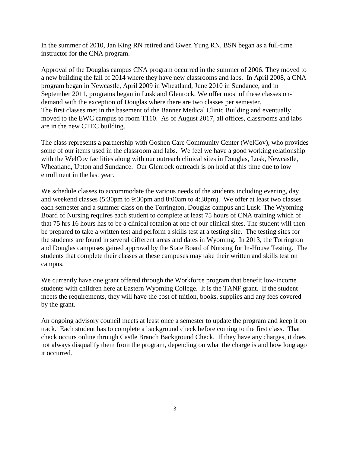In the summer of 2010, Jan King RN retired and Gwen Yung RN, BSN began as a full-time instructor for the CNA program.

Approval of the Douglas campus CNA program occurred in the summer of 2006. They moved to a new building the fall of 2014 where they have new classrooms and labs. In April 2008, a CNA program began in Newcastle, April 2009 in Wheatland, June 2010 in Sundance, and in September 2011, programs began in Lusk and Glenrock. We offer most of these classes ondemand with the exception of Douglas where there are two classes per semester. The first classes met in the basement of the Banner Medical Clinic Building and eventually moved to the EWC campus to room T110. As of August 2017, all offices, classrooms and labs are in the new CTEC building.

The class represents a partnership with Goshen Care Community Center (WelCov), who provides some of our items used in the classroom and labs. We feel we have a good working relationship with the WelCov facilities along with our outreach clinical sites in Douglas, Lusk, Newcastle, Wheatland, Upton and Sundance. Our Glenrock outreach is on hold at this time due to low enrollment in the last year.

We schedule classes to accommodate the various needs of the students including evening, day and weekend classes (5:30pm to 9:30pm and 8:00am to 4:30pm). We offer at least two classes each semester and a summer class on the Torrington, Douglas campus and Lusk. The Wyoming Board of Nursing requires each student to complete at least 75 hours of CNA training which of that 75 hrs 16 hours has to be a clinical rotation at one of our clinical sites. The student will then be prepared to take a written test and perform a skills test at a testing site. The testing sites for the students are found in several different areas and dates in Wyoming. In 2013, the Torrington and Douglas campuses gained approval by the State Board of Nursing for In-House Testing. The students that complete their classes at these campuses may take their written and skills test on campus.

We currently have one grant offered through the Workforce program that benefit low-income students with children here at Eastern Wyoming College. It is the TANF grant. If the student meets the requirements, they will have the cost of tuition, books, supplies and any fees covered by the grant.

An ongoing advisory council meets at least once a semester to update the program and keep it on track. Each student has to complete a background check before coming to the first class. That check occurs online through Castle Branch Background Check. If they have any charges, it does not always disqualify them from the program, depending on what the charge is and how long ago it occurred.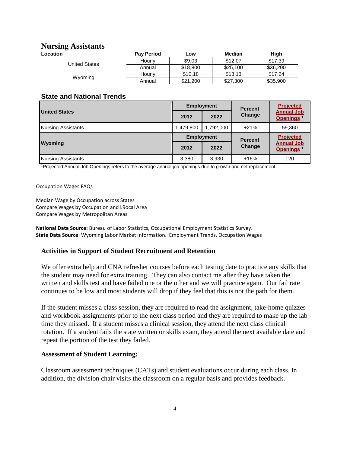# **Nursing Assistants**

| Location      | <b>Pay Period</b> | LOW      | Median   | High     |
|---------------|-------------------|----------|----------|----------|
|               | Hourly            | \$9.03   | \$12.07  | \$17.39  |
| United States | Annual            | \$18,800 | \$25,100 | \$36,200 |
| Wyoming       | Hourly            | \$10.18  | \$13.13  | \$17.24  |
|               | Annual            | \$21,200 | \$27,300 | \$35,900 |

### **State and National Trends**

|                           | <b>Employment</b> |                                            | <b>Percent</b>           | <b>Projected</b>                           |
|---------------------------|-------------------|--------------------------------------------|--------------------------|--------------------------------------------|
| <b>United States</b>      | 2012              | 2022                                       | Change                   | <b>Annual Job</b><br>Openings <sup>1</sup> |
| <b>Nursing Assistants</b> | 1,479,800         | 1,792,000                                  | $+21%$                   | 59,360                                     |
|                           | <b>Employment</b> |                                            | <b>Percent</b><br>Change | <b>Projected</b>                           |
| <b>Wyoming</b>            | 2012<br>2022      | <b>Annual Job</b><br>Openings <sup>1</sup> |                          |                                            |
| <b>Nursing Assistants</b> | 3,380             | 3,930                                      | $+16%$                   | 120                                        |

1 Projected Annual Job Openings refers to the average annual job openings due to growth and net replacement.

#### Occupation Wages FAQs

Median Wage by Occupation across States Compare Wages by Occupation and L9ocal Area Compare Wages by Metropolitan Areas

**National Data Source:** Bureau of Labor Statistics, Occupational Employment Statistics Survey. **State Data Source**: Wyoming Labor Market Information. Employment Trends. Occupation Wages

### **Activities in Support of Student Recruitment and Retention**

We offer extra help and CNA refresher courses before each testing date to practice any skills that the student may need for extra training. They can also contact me after they have taken the written and skills test and have failed one or the other and we will practice again. Our fail rate continues to be low and most students will drop if they feel that this is not the path for them.

If the student misses a class session, th**e**y are required to read the assignment, take-home quizzes and workbook assignments prior to the next class period and they are required to make up the lab time they missed. If a student misses a clinical session, they attend the next class clinical rotation. If a student fails the state written or skills exam, they attend the next available date and repeat the portion of the test they failed.

### **Assessment of Student Learning:**

Classroom assessment techniques (CATs) and student evaluations occur during each class. In addition, the division chair visits the classroom on a regular basis and provides feedback.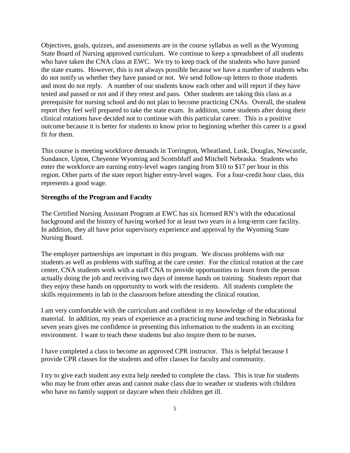Objectives, goals, quizzes, and assessments are in the course syllabus as well as the Wyoming State Board of Nursing approved curriculum. We continue to keep a spreadsheet of all students who have taken the CNA class at EWC. We try to keep track of the students who have passed the state exams. However, this is not always possible because we have a number of students who do not notify us whether they have passed or not. We send follow-up letters to those students and most do not reply. A number of our students know each other and will report if they have tested and passed or not and if they retest and pass. Other students are taking this class as a prerequisite for nursing school and do not plan to become practicing CNAs. Overall, the student report they feel well prepared to take the state exam. In addition, some students after doing their clinical rotations have decided not to continue with this particular career. This is a positive outcome because it is better for students to know prior to beginning whether this career is a good fit for them.

This course is meeting workforce demands in Torrington, Wheatland, Lusk, Douglas, Newcastle, Sundance, Upton, Cheyenne Wyoming and Scottsbluff and Mitchell Nebraska. Students who enter the workforce are earning entry-level wages ranging from \$10 to \$17 per hour in this region. Other parts of the state report higher entry-level wages. For a four-credit hour class, this represents a good wage.

### **Strengths of the Program and Faculty**

The Certified Nursing Assistant Program at EWC has six licensed RN's with the educational background and the history of having worked for at least two years in a long-term care facility. In addition, they all have prior supervisory experience and approval by the Wyoming State Nursing Board.

The employer partnerships are important in this program. We discuss problems with our students as well as problems with staffing at the care center. For the clinical rotation at the care center, CNA students work with a staff CNA to provide opportunities to learn from the person actually doing the job and receiving two days of intense hands on training. Students report that they enjoy these hands on opportunity to work with the residents. All students complete the skills requirements in lab in the classroom before attending the clinical rotation.

I am very comfortable with the curriculum and confident in my knowledge of the educational material. In addition, my years of experience as a practicing nurse and teaching in Nebraska for seven years gives me confidence in presenting this information to the students in an exciting environment. I want to teach these students but also inspire them to be nurses.

I have completed a class to become an approved CPR instructor. This is helpful because I provide CPR classes for the students and offer classes for faculty and community.

I try to give each student any extra help needed to complete the class. This is true for students who may be from other areas and cannot make class due to weather or students with children who have no family support or daycare when their children get ill.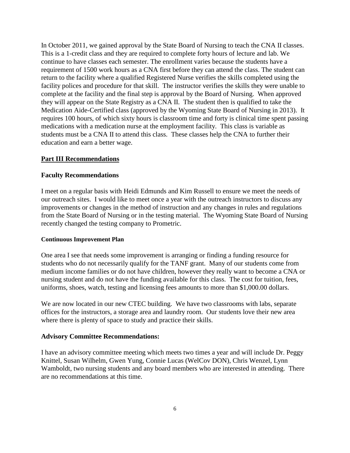In October 2011, we gained approval by the State Board of Nursing to teach the CNA II classes. This is a 1-credit class and they are required to complete forty hours of lecture and lab. We continue to have classes each semester. The enrollment varies because the students have a requirement of 1500 work hours as a CNA first before they can attend the class. The student can return to the facility where a qualified Registered Nurse verifies the skills completed using the facility polices and procedure for that skill. The instructor verifies the skills they were unable to complete at the facility and the final step is approval by the Board of Nursing. When approved they will appear on the State Registry as a CNA II. The student then is qualified to take the Medication Aide-Certified class (approved by the Wyoming State Board of Nursing in 2013). It requires 100 hours, of which sixty hours is classroom time and forty is clinical time spent passing medications with a medication nurse at the employment facility. This class is variable as students must be a CNA II to attend this class. These classes help the CNA to further their education and earn a better wage.

### **Part III Recommendations**

#### **Faculty Recommendations**

I meet on a regular basis with Heidi Edmunds and Kim Russell to ensure we meet the needs of our outreach sites. I would like to meet once a year with the outreach instructors to discuss any improvements or changes in the method of instruction and any changes in rules and regulations from the State Board of Nursing or in the testing material. The Wyoming State Board of Nursing recently changed the testing company to Prometric.

### **Continuous Improvement Plan**

One area I see that needs some improvement is arranging or finding a funding resource for students who do not necessarily qualify for the TANF grant. Many of our students come from medium income families or do not have children, however they really want to become a CNA or nursing student and do not have the funding available for this class. The cost for tuition, fees, uniforms, shoes, watch, testing and licensing fees amounts to more than \$1,000.00 dollars.

We are now located in our new CTEC building. We have two classrooms with labs, separate offices for the instructors, a storage area and laundry room. Our students love their new area where there is plenty of space to study and practice their skills.

### **Advisory Committee Recommendations:**

I have an advisory committee meeting which meets two times a year and will include Dr. Peggy Knittel, Susan Wilhelm, Gwen Yung, Connie Lucas (WelCov DON), Chris Wenzel, Lynn Wamboldt, two nursing students and any board members who are interested in attending. There are no recommendations at this time.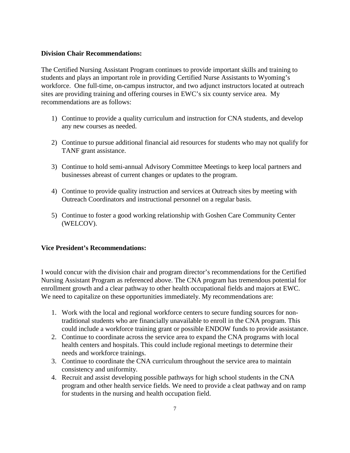# **Division Chair Recommendations:**

The Certified Nursing Assistant Program continues to provide important skills and training to students and plays an important role in providing Certified Nurse Assistants to Wyoming's workforce. One full-time, on-campus instructor, and two adjunct instructors located at outreach sites are providing training and offering courses in EWC's six county service area. My recommendations are as follows:

- 1) Continue to provide a quality curriculum and instruction for CNA students, and develop any new courses as needed.
- 2) Continue to pursue additional financial aid resources for students who may not qualify for TANF grant assistance.
- 3) Continue to hold semi-annual Advisory Committee Meetings to keep local partners and businesses abreast of current changes or updates to the program.
- 4) Continue to provide quality instruction and services at Outreach sites by meeting with Outreach Coordinators and instructional personnel on a regular basis.
- 5) Continue to foster a good working relationship with Goshen Care Community Center (WELCOV).

### **Vice President's Recommendations:**

I would concur with the division chair and program director's recommendations for the Certified Nursing Assistant Program as referenced above. The CNA program has tremendous potential for enrollment growth and a clear pathway to other health occupational fields and majors at EWC. We need to capitalize on these opportunities immediately. My recommendations are:

- 1. Work with the local and regional workforce centers to secure funding sources for nontraditional students who are financially unavailable to enroll in the CNA program. This could include a workforce training grant or possible ENDOW funds to provide assistance.
- 2. Continue to coordinate across the service area to expand the CNA programs with local health centers and hospitals. This could include regional meetings to determine their needs and workforce trainings.
- 3. Continue to coordinate the CNA curriculum throughout the service area to maintain consistency and uniformity.
- 4. Recruit and assist developing possible pathways for high school students in the CNA program and other health service fields. We need to provide a cleat pathway and on ramp for students in the nursing and health occupation field.